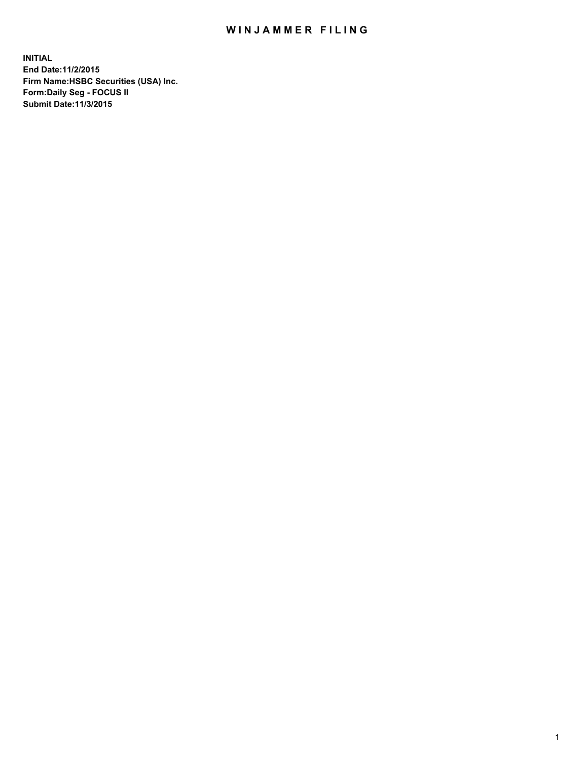## WIN JAMMER FILING

**INITIAL End Date:11/2/2015 Firm Name:HSBC Securities (USA) Inc. Form:Daily Seg - FOCUS II Submit Date:11/3/2015**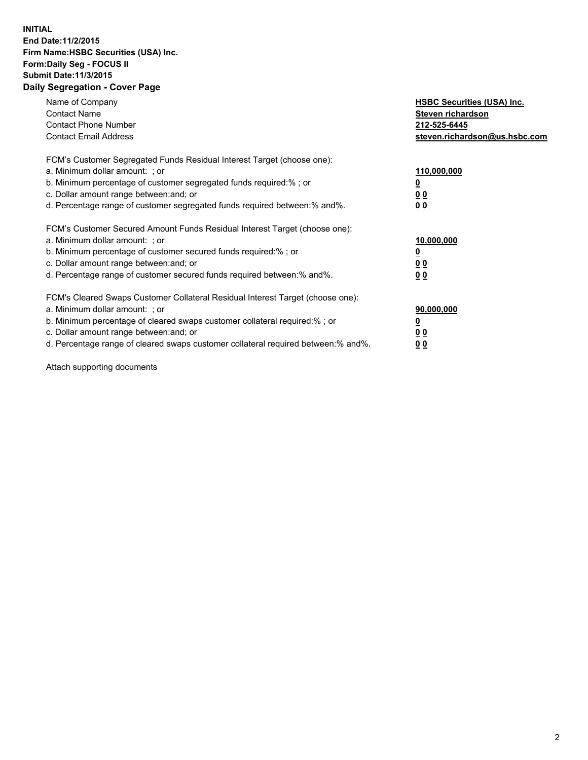## **INITIAL End Date:11/2/2015 Firm Name:HSBC Securities (USA) Inc. Form:Daily Seg - FOCUS II Submit Date:11/3/2015 Daily Segregation - Cover Page**

| Name of Company<br><b>Contact Name</b><br><b>Contact Phone Number</b><br><b>Contact Email Address</b>                                                                                                                                                                                                                         | <b>HSBC Securities (USA) Inc.</b><br>Steven richardson<br>212-525-6445<br>steven.richardson@us.hsbc.com |
|-------------------------------------------------------------------------------------------------------------------------------------------------------------------------------------------------------------------------------------------------------------------------------------------------------------------------------|---------------------------------------------------------------------------------------------------------|
| FCM's Customer Segregated Funds Residual Interest Target (choose one):<br>a. Minimum dollar amount: ; or<br>b. Minimum percentage of customer segregated funds required:%; or<br>c. Dollar amount range between: and; or<br>d. Percentage range of customer segregated funds required between:% and%.                         | 110,000,000<br>0 <sub>0</sub><br>0 <sub>0</sub>                                                         |
| FCM's Customer Secured Amount Funds Residual Interest Target (choose one):<br>a. Minimum dollar amount: ; or<br>b. Minimum percentage of customer secured funds required:%; or<br>c. Dollar amount range between: and; or<br>d. Percentage range of customer secured funds required between:% and%.                           | 10,000,000<br>0 <sub>0</sub><br>00                                                                      |
| FCM's Cleared Swaps Customer Collateral Residual Interest Target (choose one):<br>a. Minimum dollar amount: ; or<br>b. Minimum percentage of cleared swaps customer collateral required:%; or<br>c. Dollar amount range between: and; or<br>d. Percentage range of cleared swaps customer collateral required between:% and%. | 90,000,000<br><u>00</u><br><u>00</u>                                                                    |

Attach supporting documents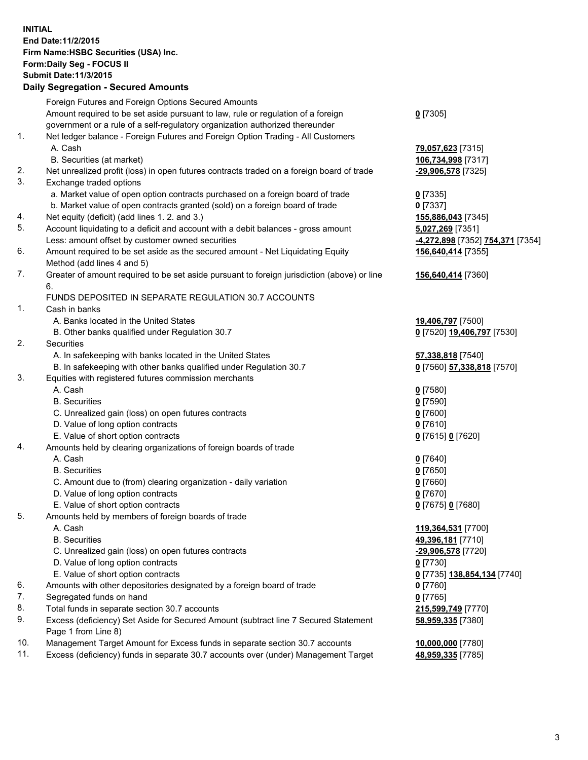**INITIAL End Date:11/2/2015 Firm Name:HSBC Securities (USA) Inc. Form:Daily Seg - FOCUS II Submit Date:11/3/2015 Daily Segregation - Secured Amounts**

Foreign Futures and Foreign Options Secured Amounts Amount required to be set aside pursuant to law, rule or regulation of a foreign government or a rule of a self-regulatory organization authorized thereunder **0** [7305] 1. Net ledger balance - Foreign Futures and Foreign Option Trading - All Customers A. Cash **79,057,623** [7315] B. Securities (at market) **106,734,998** [7317] 2. Net unrealized profit (loss) in open futures contracts traded on a foreign board of trade **-29,906,578** [7325] 3. Exchange traded options a. Market value of open option contracts purchased on a foreign board of trade **0** [7335] b. Market value of open contracts granted (sold) on a foreign board of trade **0** [7337] 4. Net equity (deficit) (add lines 1. 2. and 3.) **155,886,043** [7345] 5. Account liquidating to a deficit and account with a debit balances - gross amount **5,027,269** [7351] Less: amount offset by customer owned securities **-4,272,898** [7352] **754,371** [7354] 6. Amount required to be set aside as the secured amount - Net Liquidating Equity Method (add lines 4 and 5) **156,640,414** [7355] 7. Greater of amount required to be set aside pursuant to foreign jurisdiction (above) or line 6. **156,640,414** [7360] FUNDS DEPOSITED IN SEPARATE REGULATION 30.7 ACCOUNTS 1. Cash in banks A. Banks located in the United States **19,406,797** [7500] B. Other banks qualified under Regulation 30.7 **0** [7520] **19,406,797** [7530] 2. Securities A. In safekeeping with banks located in the United States **57,338,818** [7540] B. In safekeeping with other banks qualified under Regulation 30.7 **0** [7560] **57,338,818** [7570] 3. Equities with registered futures commission merchants A. Cash **0** [7580] B. Securities **0** [7590] C. Unrealized gain (loss) on open futures contracts **0** [7600] D. Value of long option contracts **0** [7610] E. Value of short option contracts **0** [7615] **0** [7620] 4. Amounts held by clearing organizations of foreign boards of trade A. Cash **0** [7640] B. Securities **0** [7650] C. Amount due to (from) clearing organization - daily variation **0** [7660] D. Value of long option contracts **0** [7670] E. Value of short option contracts **0** [7675] **0** [7680] 5. Amounts held by members of foreign boards of trade A. Cash **119,364,531** [7700] B. Securities **49,396,181** [7710] C. Unrealized gain (loss) on open futures contracts **-29,906,578** [7720] D. Value of long option contracts **0** [7730] E. Value of short option contracts **0** [7735] **138,854,134** [7740] 6. Amounts with other depositories designated by a foreign board of trade **0** [7760] 7. Segregated funds on hand **0** [7765] 8. Total funds in separate section 30.7 accounts **215,599,749** [7770] 9. Excess (deficiency) Set Aside for Secured Amount (subtract line 7 Secured Statement Page 1 from Line 8) **58,959,335** [7380] 10. Management Target Amount for Excess funds in separate section 30.7 accounts **10,000,000** [7780]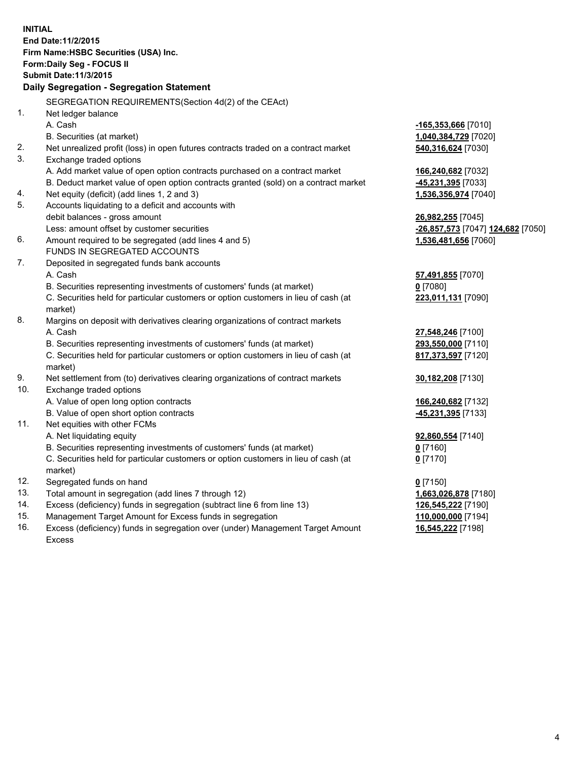| <b>INITIAL</b>                            |                                                                                      |                                   |  |  |  |
|-------------------------------------------|--------------------------------------------------------------------------------------|-----------------------------------|--|--|--|
| End Date: 11/2/2015                       |                                                                                      |                                   |  |  |  |
|                                           | Firm Name: HSBC Securities (USA) Inc.                                                |                                   |  |  |  |
| Form: Daily Seg - FOCUS II                |                                                                                      |                                   |  |  |  |
|                                           | <b>Submit Date: 11/3/2015</b>                                                        |                                   |  |  |  |
| Daily Segregation - Segregation Statement |                                                                                      |                                   |  |  |  |
|                                           | SEGREGATION REQUIREMENTS(Section 4d(2) of the CEAct)                                 |                                   |  |  |  |
| 1.                                        | Net ledger balance                                                                   |                                   |  |  |  |
|                                           | A. Cash                                                                              | -165,353,666 [7010]               |  |  |  |
|                                           | B. Securities (at market)                                                            | 1,040,384,729 [7020]              |  |  |  |
| 2.                                        | Net unrealized profit (loss) in open futures contracts traded on a contract market   | 540,316,624 [7030]                |  |  |  |
| 3.                                        | Exchange traded options                                                              |                                   |  |  |  |
|                                           | A. Add market value of open option contracts purchased on a contract market          | 166,240,682 [7032]                |  |  |  |
|                                           | B. Deduct market value of open option contracts granted (sold) on a contract market  | -45,231,395 [7033]                |  |  |  |
| 4.                                        | Net equity (deficit) (add lines 1, 2 and 3)                                          | 1,536,356,974 [7040]              |  |  |  |
| 5.                                        | Accounts liquidating to a deficit and accounts with                                  |                                   |  |  |  |
|                                           | debit balances - gross amount                                                        | 26,982,255 [7045]                 |  |  |  |
| 6.                                        | Less: amount offset by customer securities                                           | -26,857,573 [7047] 124,682 [7050] |  |  |  |
|                                           | Amount required to be segregated (add lines 4 and 5)<br>FUNDS IN SEGREGATED ACCOUNTS | 1,536,481,656 [7060]              |  |  |  |
| 7.                                        | Deposited in segregated funds bank accounts                                          |                                   |  |  |  |
|                                           | A. Cash                                                                              | 57,491,855 [7070]                 |  |  |  |
|                                           | B. Securities representing investments of customers' funds (at market)               | $0$ [7080]                        |  |  |  |
|                                           | C. Securities held for particular customers or option customers in lieu of cash (at  | 223,011,131 [7090]                |  |  |  |
|                                           | market)                                                                              |                                   |  |  |  |
| 8.                                        | Margins on deposit with derivatives clearing organizations of contract markets       |                                   |  |  |  |
|                                           | A. Cash                                                                              | 27,548,246 [7100]                 |  |  |  |
|                                           | B. Securities representing investments of customers' funds (at market)               | 293,550,000 [7110]                |  |  |  |
|                                           | C. Securities held for particular customers or option customers in lieu of cash (at  | 817,373,597 [7120]                |  |  |  |
|                                           | market)                                                                              |                                   |  |  |  |
| 9.                                        | Net settlement from (to) derivatives clearing organizations of contract markets      | 30,182,208 [7130]                 |  |  |  |
| 10.                                       | Exchange traded options                                                              |                                   |  |  |  |
|                                           | A. Value of open long option contracts                                               | 166,240,682 [7132]                |  |  |  |
|                                           | B. Value of open short option contracts                                              | -45,231,395 [7133]                |  |  |  |
| 11.                                       | Net equities with other FCMs                                                         |                                   |  |  |  |
|                                           | A. Net liquidating equity                                                            | 92,860,554 [7140]                 |  |  |  |
|                                           | B. Securities representing investments of customers' funds (at market)               | $0$ [7160]                        |  |  |  |
|                                           | C. Securities held for particular customers or option customers in lieu of cash (at  | $0$ [7170]                        |  |  |  |
|                                           | market)                                                                              |                                   |  |  |  |
| 12.                                       | Segregated funds on hand                                                             | $0$ [7150]                        |  |  |  |
| 13.                                       | Total amount in segregation (add lines 7 through 12)                                 | 1,663,026,878 [7180]              |  |  |  |
| 14.                                       | Excess (deficiency) funds in segregation (subtract line 6 from line 13)              | 126,545,222 [7190]                |  |  |  |
| 15.                                       | Management Target Amount for Excess funds in segregation                             | 110,000,000 [7194]                |  |  |  |
| 16.                                       | Excess (deficiency) funds in segregation over (under) Management Target Amount       | 16,545,222 [7198]                 |  |  |  |

16. Excess (deficiency) funds in segregation over (under) Management Target Amount Excess